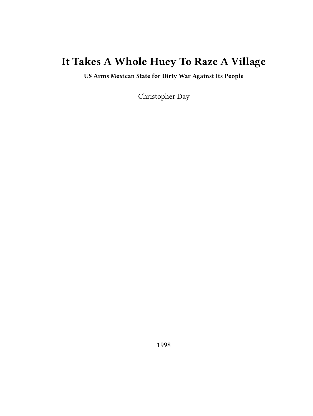# **It Takes A Whole Huey To Raze A Village**

**US Arms Mexican State for Dirty War Against Its People**

Christopher Day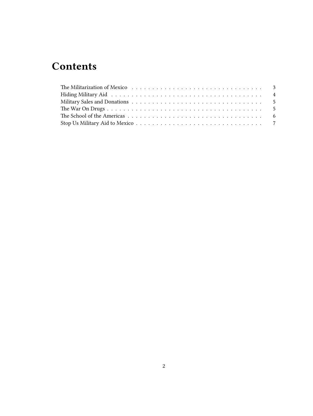# **Contents**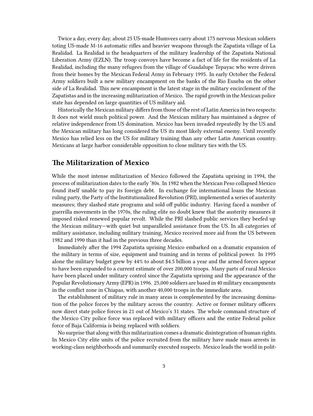Twice a day, every day, about 25 US-made Humvees carry about 175 nervous Mexican soldiers toting US-made M-16 automatic rifles and heavier weapons through the Zapatista village of La Realidad. La Realidad is the headquarters of the military leadership of the Zapatista National Liberation Army (EZLN). The troop convoys have become a fact of life for the residents of La Realidad, including the many refugees from the village of Guadalupe Tepayac who were driven from their homes by the Mexican Federal Army in February 1995. In early October the Federal Army soldiers built a new military encampment on the banks of the Rio Euseba on the other side of La Realidad. This new encampment is the latest stage in the military encirclement of the Zapatistas and in the increasing militarization of Mexico. The rapid growth in the Mexican police state has depended on large quantities of US military aid.

Historically the Mexican military differs from those of the rest of Latin America in two respects: It does not wield much political power. And the Mexican military has maintained a degree of relative independence from US domination. Mexico has been invaded repeatedly by the US and the Mexican military has long considered the US its most likely external enemy. Until recently Mexico has relied less on the US for military training than any other Latin American country. Mexicans at large harbor considerable opposition to close military ties with the US.

### <span id="page-2-0"></span>**The Militarization of Mexico**

While the most intense militarization of Mexico followed the Zapatista uprising in 1994, the process of militarization dates to the early '80s. In 1982 when the Mexican Peso collapsed Mexico found itself unable to pay its foreign debt. In exchange for international loans the Mexican ruling party, the Party of the Institutionalized Revolution (PRI), implemented a series of austerity measures; they slashed state programs and sold off public industry. Having faced a number of guerrilla movements in the 1970s, the ruling elite no doubt knew that the austerity measures it imposed risked renewed popular revolt. While the PRI slashed public services they beefed up the Mexican military—with quiet but unparalleled assistance from the US. In all categories of military assistance, including military training, Mexico received more aid from the US between 1982 and 1990 than it had in the previous three decades.

Immediately after the 1994 Zapatista uprising Mexico embarked on a dramatic expansion of the military in terms of size, equipment and training and in terms of political power. In 1995 alone the military budget grew by 44% to about \$4.5 billion a year and the armed forces appear to have been expanded to a current estimate of over 200,000 troops. Many parts of rural Mexico have been placed under military control since the Zapatista uprising and the appearance of the Popular Revolutionary Army (EPR) in 1996. 25,000 soldiers are based in 40 military encampments in the conflict zone in Chiapas, with another 40,000 troops in the immediate area.

The establishment of military rule in many areas is complemented by the increasing domination of the police forces by the military across the country. Active or former military officers now direct state police forces in 21 out of Mexico's 31 states. The whole command structure of the Mexico City police force was replaced with military officers and the entire Federal police force of Baja California is being replaced with soldiers.

No surprise that along with this militarization comes a dramatic disintegration of human rights. In Mexico City elite units of the police recruited from the military have made mass arrests in working-class neighborhoods and summarily executed suspects. Mexico leads the world in polit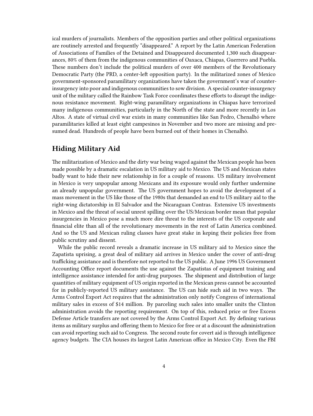ical murders of journalists. Members of the opposition parties and other political organizations are routinely arrested and frequently "disappeared." A report by the Latin American Federation of Associations of Families of the Detained and Disappeared documented 1,300 such disappearances, 80% of them from the indigenous communities of Oaxaca, Chiapas, Guerrero and Puebla. These numbers don't include the political murders of over 400 members of the Revolutionary Democratic Party (the PRD, a center-left opposition party). In the militarized zones of Mexico government-sponsored paramilitary organizations have taken the government's war of counterinsurgency into poor and indigenous communities to sow division. A special counter-insurgency unit of the military called the Rainbow Task Force coordinates these efforts to disrupt the indigenous resistance movement. Right-wing paramilitary organizations in Chiapas have terrorized many indigenous communities, particularly in the North of the state and more recently in Los Altos. A state of virtual civil war exists in many communities like San Pedro, Chenalhó where paramilitaries killed at least eight campesinos in November and two more are missing and presumed dead. Hundreds of people have been burned out of their homes in Chenalhó.

## <span id="page-3-0"></span>**Hiding Military Aid**

The militarization of Mexico and the dirty war being waged against the Mexican people has been made possible by a dramatic escalation in US military aid to Mexico. The US and Mexican states badly want to hide their new relationship in for a couple of reasons. US military involvement in Mexico is very unpopular among Mexicans and its exposure would only further undermine an already unpopular government. The US government hopes to avoid the development of a mass movement in the US like those of the 1980s that demanded an end to US military aid to the right-wing dictatorship in El Salvador and the Nicaraguan Contras. Extensive US investments in Mexico and the threat of social unrest spilling over the US/Mexican border mean that popular insurgencies in Mexico pose a much more dire threat to the interests of the US corporate and financial elite than all of the revolutionary movements in the rest of Latin America combined. And so the US and Mexican ruling classes have great stake in keping their policies free from public scrutiny and dissent.

While the public record reveals a dramatic increase in US military aid to Mexico since the Zapatista uprising, a great deal of military aid arrives in Mexico under the cover of anti-drug trafficking assistance and is therefore not reported to the US public. A June 1996 US Government Accounting Office report documents the use against the Zapatistas of equipment training and intelligence assistance intended for anti-drug purposes. The shipment and distribution of large quantities of military equipment of US origin reported in the Mexican press cannot be accounted for in publicly-reported US military assistance. The US can hide such aid in two ways. The Arms Control Export Act requires that the administration only notify Congress of international military sales in excess of \$14 million. By parceling such sales into smaller units the Clinton administration avoids the reporting requirement. On top of this, reduced price or free Excess Defense Article transfers are not covered by the Arms Control Export Act. By defining various items as military surplus and offering them to Mexico for free or at a discount the administration can avoid reporting such aid to Congress. The second route for covert aid is through intelligence agency budgets. The CIA houses its largest Latin American office in Mexico City. Even the FBI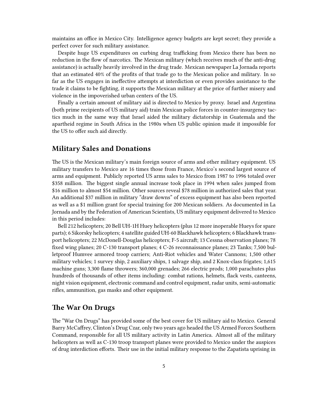maintains an office in Mexico City. Intelligence agency budgets are kept secret; they provide a perfect cover for such military assistance.

Despite huge US expenditures on curbing drug trafficking from Mexico there has been no reduction in the flow of narcotics. The Mexican military (which receives much of the anti-drug assistance) is actually heavily involved in the drug trade. Mexican newspaper La Jornada reports that an estimated 40% of the profits of that trade go to the Mexican police and military. In so far as the US engages in ineffective attempts at interdiction or even provides assistance to the trade it claims to be fighting, it supports the Mexican military at the price of further misery and violence in the impoverished urban centers of the US.

Finally a certain amount of military aid is directed to Mexico by proxy. Israel and Argentina (both prime recipients of US military aid) train Mexican police forces in counter-insurgency tactics much in the same way that Israel aided the military dictatorship in Guatemala and the apartheid regime in South Africa in the 1980s when US public opinion made it impossible for the US to offer such aid directly.

#### <span id="page-4-0"></span>**Military Sales and Donations**

The US is the Mexican military's main foreign source of arms and other military equipment. US military transfers to Mexico are 16 times those from France, Mexico's second largest source of arms and equipment. Publicly reported US arms sales to Mexico from 1987 to 1996 totaled over \$358 million. The biggest single annual increase took place in 1994 when sales jumped from \$16 million to almost \$54 million. Other sources reveal \$78 million in authorized sales that year. An additional \$37 million in military "draw downs" of excess equipment has also been reported as well as a \$1 million grant for special training for 200 Mexican soldiers. As documented in La Jornada and by the Federation of American Scientists, US military equipment delivered to Mexico in this period includes:

Bell 212 helicopters; 20 Bell UH-1H Huey helicopters (plus 12 more inoperable Hueys for spare parts); 6 Sikorsky helicopters; 4 satellite guided UH-60 Blackhawk helicopters; 6 Blackhawk transport helicopters; 22 McDonell-Douglas helicopters; F-5 aircraft; 13 Cessna observation planes; 78 fixed wing planes; 20 C-130 transport planes; 4 C-26 reconnaissance planes; 23 Tanks; 7,500 bulletproof Humvee armored troop carriers; Anti-Riot vehicles and Water Cannons; 1,500 other military vehicles; 1 survey ship, 2 auxiliary ships, 1 salvage ship, and 2 Knox-class frigates; 1,615 machine guns; 3,300 flame throwers; 360,000 grenades; 266 electric prods; 1,000 parachutes plus hundreds of thousands of other items including: combat rations, helmets, flack vests, canteens, night vision equipment, electronic command and control equipment, radar units, semi-automatic rifles, ammunition, gas masks and other equipment.

#### <span id="page-4-1"></span>**The War On Drugs**

The "War On Drugs" has provided some of the best cover for US military aid to Mexico. General Barry McCaffrey, Clinton's Drug Czar, only two years ago headed the US Armed Forces Southern Command, responsible for all US military activity in Latin America. Almost all of the military helicopters as well as C-130 troop transport planes were provided to Mexico under the auspices of drug interdiction efforts. Their use in the initial military response to the Zapatista uprising in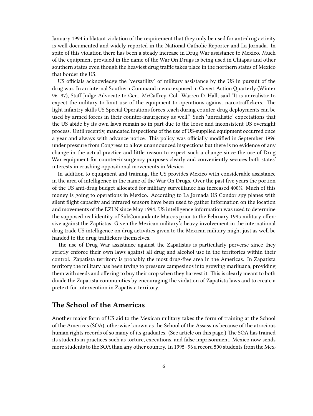January 1994 in blatant violation of the requirement that they only be used for anti-drug activity is well documented and widely reported in the National Catholic Reporter and La Jornada. In spite of this violation there has been a steady increase in Drug War assistance to Mexico. Much of the equipment provided in the name of the War On Drugs is being used in Chiapas and other southern states even though the heaviest drug traffic takes place in the northern states of Mexico that border the US.

US officials acknowledge the 'versatility' of military assistance by the US in pursuit of the drug war. In an internal Southern Command memo exposed in Covert Action Quarterly (Winter 96–97), Staff Judge Advocate to Gen. McCaffrey, Col. Warren D. Hall, said "It is unrealistic to expect the military to limit use of the equipment to operations against narcotraffickers. The light infantry skills US Special Operations forces teach during counter-drug deployments can be used by armed forces in their counter-insurgency as well." Such 'unrealistic' expectations that the US abide by its own laws remain so in part due to the loose and inconsistent US oversight process. Until recently, mandated inspections of the use of US-supplied equipment occurred once a year and always with advance notice. This policy was officially modified in September 1996 under pressure from Congress to allow unannounced inspections but there is no evidence of any change in the actual practice and little reason to expect such a change since the use of Drug War equipment for counter-insurgency purposes clearly and conveniently secures both states' interests in crushing oppositional movements in Mexico.

In addition to equipment and training, the US provides Mexico with considerable assistance in the area of intelligence in the name of the War On Drugs. Over the past five years the portion of the US anti-drug budget allocated for military surveillance has increased 400%. Much of this money is going to operations in Mexico. According to La Jornada US Condor spy planes with silent flight capacity and infrared sensors have been used to gather information on the location and movements of the EZLN since May 1994. US intelligence information was used to determine the supposed real identity of SubComandante Marcos prior to the February 1995 military offensive against the Zaptistas. Given the Mexican military's heavy involvement in the international drug trade US intelligence on drug activities given to the Mexican military might just as well be handed to the drug traffickers themselves.

The use of Drug War assistance against the Zapatistas is particularly perverse since they strictly enforce their own laws against all drug and alcohol use in the territories within their control. Zapatista territory is probably the most drug-free area in the Americas. In Zapatista territory the military has been trying to pressure campesinos into growing marijuana, providing them with seeds and offering to buy their crop when they harvest it. This is clearly meant to both divide the Zapatista communities by encouraging the violation of Zapatista laws and to create a pretext for intervention in Zapatista territory.

#### <span id="page-5-0"></span>**The School of the Americas**

Another major form of US aid to the Mexican military takes the form of training at the School of the Americas (SOA), otherwise known as the School of the Assassins because of the atrocious human rights records of so many of its graduates. (See article on this page.) The SOA has trained its students in practices such as torture, executions, and false imprisonment. Mexico now sends more students to the SOA than any other country. In 1995–96 a record 500 students from the Mex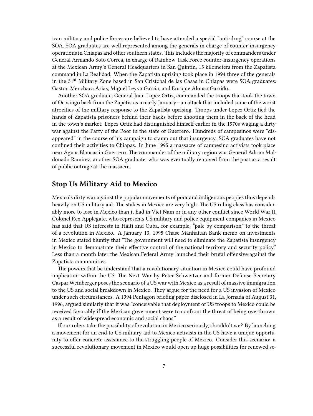ican military and police forces are believed to have attended a special "anti-drug" course at the SOA. SOA graduates are well represented among the generals in charge of counter-insurgency operations in Chiapas and other southern states. This includes the majority of commanders under General Armando Soto Correa, in charge of Rainbow Task Force counter-insurgency operations at the Mexican Army's General Headquarters in San Quintin, 15 kilometers from the Zapatista command in La Realidad. When the Zapatista uprising took place in 1994 three of the generals in the 31<sup>st</sup> Military Zone based in San Cristobal de las Casas in Chiapas were SOA graduates: Gaston Menchaca Arias, Miguel Leyva Garcia, and Enrique Alonso Garrido.

Another SOA graduate, General Juan Lopez Ortiz, commanded the troops that took the town of Ocosingo back from the Zapatistas in early January—an attack that included some of the worst atrocities of the military response to the Zapatista uprising. Troops under Lopez Ortiz tied the hands of Zapatista prisoners behind their backs before shooting them in the back of the head in the town's market. Lopez Ortiz had distinguished himself earlier in the 1970s waging a dirty war against the Party of the Poor in the state of Guerrero. Hundreds of campesinos were "disappeared" in the course of his campaign to stamp out that insurgency. SOA graduates have not confined their activities to Chiapas. In June 1995 a massacre of campesino activists took place near Aguas Blancas in Guerrero. The commander of the military region was General Adrian Maldonado Ramirez, another SOA graduate, who was eventually removed from the post as a result of public outrage at the massacre.

### <span id="page-6-0"></span>**Stop Us Military Aid to Mexico**

Mexico's dirty war against the popular movements of poor and indigenous peoples thus depends heavily on US military aid. The stakes in Mexico are very high. The US ruling class has considerably more to lose in Mexico than it had in Viet Nam or in any other conflict since World War II. Colonel Rex Applegate, who represents US military and police equipment companies in Mexico has said that US interests in Haiti and Cuba, for example, "pale by comparison" to the threat of a revolution in Mexico. A January 13, 1995 Chase Manhattan Bank memo on investments in Mexico stated bluntly that "The government will need to eliminate the Zapatista insurgency in Mexico to demonstrate their effective control of the national territory and security policy." Less than a month later the Mexican Federal Army launched their brutal offensive against the Zapatista communities.

The powers that be understand that a revolutionary situation in Mexico could have profound implication within the US. The Next War by Peter Schweitzer and former Defense Secretary Caspar Weinberger poses the scenario of a US war with Mexico as a result of massive immigration to the US and social breakdown in Mexico. They argue for the need for a US invasion of Mexico under such circumstances. A 1994 Pentagon briefing paper disclosed in La Jornada of August 31, 1996, argued similarly that it was "conceivable that deployment of US troops to Mexico could be received favorably if the Mexican government were to confront the threat of being overthrown as a result of widespread economic and social chaos."

If our rulers take the possibility of revolution in Mexico seriously, shouldn't we? By launching a movement for an end to US military aid to Mexico activists in the US have a unique opportunity to offer concrete assistance to the struggling people of Mexico. Consider this scenario: a successful revolutionary movement in Mexico would open up huge possibilities for renewed so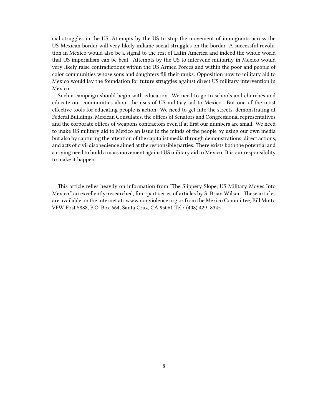cial struggles in the US. Attempts by the US to stop the movement of immigrants across the US-Mexican border will very likely inflame social struggles on the border. A successful revolution in Mexico would also be a signal to the rest of Latin America and indeed the whole world that US imperialism can be beat. Attempts by the US to intervene militarily in Mexico would very likely raise contradictions within the US Armed Forces and within the poor and people of color communities whose sons and daughters fill their ranks. Opposition now to military aid to Mexico would lay the foundation for future struggles against direct US military intervention in Mexico.

Such a campaign should begin with education. We need to go to schools and churches and educate our communities about the uses of US military aid to Mexico. But one of the most effective tools for educating people is action. We need to get into the streets, demonstrating at Federal Buildings, Mexican Consulates, the offices of Senators and Congressional representatives and the corporate offices of weapons contractors even if at first our numbers are small. We need to make US military aid to Mexico an issue in the minds of the people by using our own media but also by capturing the attention of the capitalist media through demonstrations, direct actions, and acts of civil disobedience aimed at the responsible parties. There exists both the potential and a crying need to build a mass movement against US military aid to Mexico. It is our responsibility to make it happen.

This article relies heavily on information from "The Slippery Slope, US Military Moves Into Mexico," an excellently-researched, four-part series of articles by S. Brian Wilson. These articles are available on the internet at: www.nonviolence.org or from the Mexico Committee, Bill Motto VFW Post 5888, P.O. Box 664, Santa Cruz, CA 95061 Tel.: (408) 429–8345